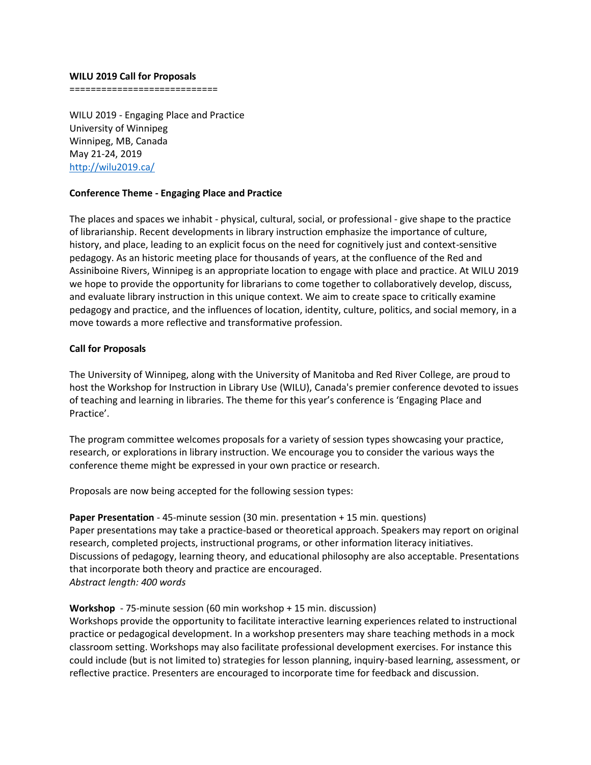#### **WILU 2019 Call for Proposals**

============================

WILU 2019 - Engaging Place and Practice University of Winnipeg Winnipeg, MB, Canada May 21-24, 2019 <http://wilu2019.ca/>

### **Conference Theme - Engaging Place and Practice**

The places and spaces we inhabit - physical, cultural, social, or professional - give shape to the practice of librarianship. Recent developments in library instruction emphasize the importance of culture, history, and place, leading to an explicit focus on the need for cognitively just and context-sensitive pedagogy. As an historic meeting place for thousands of years, at the confluence of the Red and Assiniboine Rivers, Winnipeg is an appropriate location to engage with place and practice. At WILU 2019 we hope to provide the opportunity for librarians to come together to collaboratively develop, discuss, and evaluate library instruction in this unique context. We aim to create space to critically examine pedagogy and practice, and the influences of location, identity, culture, politics, and social memory, in a move towards a more reflective and transformative profession.

## **Call for Proposals**

The University of Winnipeg, along with the University of Manitoba and Red River College, are proud to host the Workshop for Instruction in Library Use (WILU), Canada's premier conference devoted to issues of teaching and learning in libraries. The theme for this year's conference is 'Engaging Place and Practice'.

The program committee welcomes proposals for a variety of session types showcasing your practice, research, or explorations in library instruction. We encourage you to consider the various ways the conference theme might be expressed in your own practice or research.

Proposals are now being accepted for the following session types:

**Paper Presentation** - 45-minute session (30 min. presentation + 15 min. questions) Paper presentations may take a practice-based or theoretical approach. Speakers may report on original research, completed projects, instructional programs, or other information literacy initiatives. Discussions of pedagogy, learning theory, and educational philosophy are also acceptable. Presentations that incorporate both theory and practice are encouraged. *Abstract length: 400 words*

# **Workshop** - 75-minute session (60 min workshop + 15 min. discussion)

Workshops provide the opportunity to facilitate interactive learning experiences related to instructional practice or pedagogical development. In a workshop presenters may share teaching methods in a mock classroom setting. Workshops may also facilitate professional development exercises. For instance this could include (but is not limited to) strategies for lesson planning, inquiry-based learning, assessment, or reflective practice. Presenters are encouraged to incorporate time for feedback and discussion.